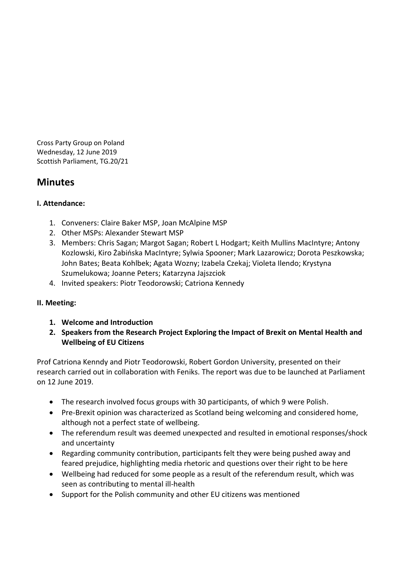Cross Party Group on Poland Wednesday, 12 June 2019 Scottish Parliament, TG.20/21

# **Minutes**

### **I. Attendance:**

- 1. Conveners: Claire Baker MSP, Joan McAlpine MSP
- 2. Other MSPs: Alexander Stewart MSP
- 3. Members: Chris Sagan; Margot Sagan; Robert L Hodgart; Keith Mullins MacIntyre; Antony Kozlowski, Kiro Żabińska MacIntyre; Sylwia Spooner; Mark Lazarowicz; Dorota Peszkowska; John Bates; Beata Kohlbek; Agata Wozny; Izabela Czekaj; Violeta Ilendo; Krystyna Szumelukowa; Joanne Peters; Katarzyna Jajszciok
- 4. Invited speakers: Piotr Teodorowski; Catriona Kennedy

### **II. Meeting:**

- **1. Welcome and Introduction**
- **2. Speakers from the Research Project Exploring the Impact of Brexit on Mental Health and Wellbeing of EU Citizens**

Prof Catriona Kenndy and Piotr Teodorowski, Robert Gordon University, presented on their research carried out in collaboration with Feniks. The report was due to be launched at Parliament on 12 June 2019.

- The research involved focus groups with 30 participants, of which 9 were Polish.
- Pre-Brexit opinion was characterized as Scotland being welcoming and considered home, although not a perfect state of wellbeing.
- The referendum result was deemed unexpected and resulted in emotional responses/shock and uncertainty
- Regarding community contribution, participants felt they were being pushed away and feared prejudice, highlighting media rhetoric and questions over their right to be here
- Wellbeing had reduced for some people as a result of the referendum result, which was seen as contributing to mental ill-health
- Support for the Polish community and other EU citizens was mentioned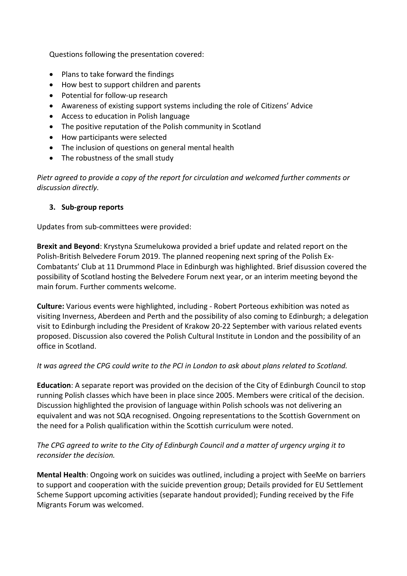Questions following the presentation covered:

- Plans to take forward the findings
- How best to support children and parents
- Potential for follow-up research
- Awareness of existing support systems including the role of Citizens' Advice
- Access to education in Polish language
- The positive reputation of the Polish community in Scotland
- How participants were selected
- The inclusion of questions on general mental health
- The robustness of the small study

*Pietr agreed to provide a copy of the report for circulation and welcomed further comments or discussion directly.* 

#### **3. Sub-group reports**

Updates from sub-committees were provided:

**Brexit and Beyond**: Krystyna Szumelukowa provided a brief update and related report on the Polish-British Belvedere Forum 2019. The planned reopening next spring of the Polish Ex-Combatants' Club at 11 Drummond Place in Edinburgh was highlighted. Brief disussion covered the possibility of Scotland hosting the Belvedere Forum next year, or an interim meeting beyond the main forum. Further comments welcome.

**Culture:** Various events were highlighted, including - Robert Porteous exhibition was noted as visiting Inverness, Aberdeen and Perth and the possibility of also coming to Edinburgh; a delegation visit to Edinburgh including the President of Krakow 20-22 September with various related events proposed. Discussion also covered the Polish Cultural Institute in London and the possibility of an office in Scotland.

#### *It was agreed the CPG could write to the PCI in London to ask about plans related to Scotland.*

**Education**: A separate report was provided on the decision of the City of Edinburgh Council to stop running Polish classes which have been in place since 2005. Members were critical of the decision. Discussion highlighted the provision of language within Polish schools was not delivering an equivalent and was not SQA recognised. Ongoing representations to the Scottish Government on the need for a Polish qualification within the Scottish curriculum were noted.

*The CPG agreed to write to the City of Edinburgh Council and a matter of urgency urging it to reconsider the decision.* 

**Mental Health**: Ongoing work on suicides was outlined, including a project with SeeMe on barriers to support and cooperation with the suicide prevention group; Details provided for EU Settlement Scheme Support upcoming activities (separate handout provided); Funding received by the Fife Migrants Forum was welcomed.